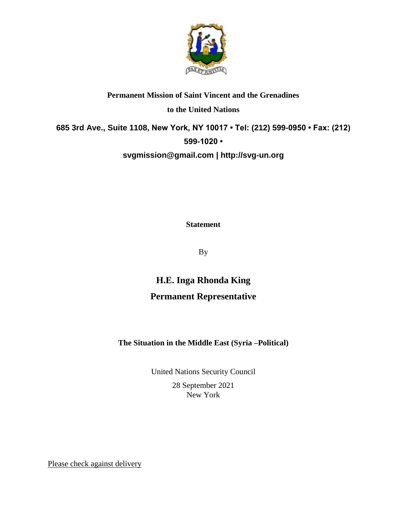

## **Permanent Mission of Saint Vincent and the Grenadines to the United Nations 685 3rd Ave., Suite 1108, New York, NY 10017 • Tel: (212) 599-0950 • Fax: (212) 599-1020 • [svgmission@gmail.com](mailto:svgmission@gmail.com) | [http://svg-un.org](http://svg-un.org/)**

**Statement**

By

## **H.E. Inga Rhonda King Permanent Representative**

## **The Situation in the Middle East (Syria –Political)**

United Nations Security Council 28 September 2021 New York

Please check against delivery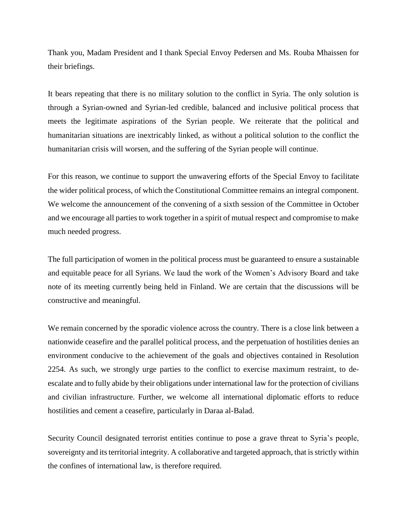Thank you, Madam President and I thank Special Envoy Pedersen and Ms. Rouba Mhaissen for their briefings.

It bears repeating that there is no military solution to the conflict in Syria. The only solution is through a Syrian-owned and Syrian-led credible, balanced and inclusive political process that meets the legitimate aspirations of the Syrian people. We reiterate that the political and humanitarian situations are inextricably linked, as without a political solution to the conflict the humanitarian crisis will worsen, and the suffering of the Syrian people will continue.

For this reason, we continue to support the unwavering efforts of the Special Envoy to facilitate the wider political process, of which the Constitutional Committee remains an integral component. We welcome the announcement of the convening of a sixth session of the Committee in October and we encourage all parties to work together in a spirit of mutual respect and compromise to make much needed progress.

The full participation of women in the political process must be guaranteed to ensure a sustainable and equitable peace for all Syrians. We laud the work of the Women's Advisory Board and take note of its meeting currently being held in Finland. We are certain that the discussions will be constructive and meaningful.

We remain concerned by the sporadic violence across the country. There is a close link between a nationwide ceasefire and the parallel political process, and the perpetuation of hostilities denies an environment conducive to the achievement of the goals and objectives contained in Resolution 2254. As such, we strongly urge parties to the conflict to exercise maximum restraint, to deescalate and to fully abide by their obligations under international law for the protection of civilians and civilian infrastructure. Further, we welcome all international diplomatic efforts to reduce hostilities and cement a ceasefire, particularly in Daraa al-Balad.

Security Council designated terrorist entities continue to pose a grave threat to Syria's people, sovereignty and its territorial integrity. A collaborative and targeted approach, that is strictly within the confines of international law, is therefore required.